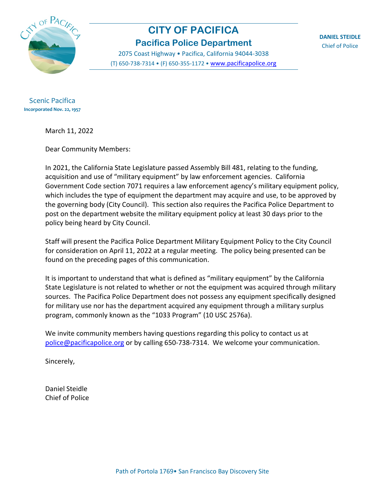

# **CITY OF PACIFICA Pacifica Police Department**

2075 Coast Highway • Pacifica, California 94044-3038 (T) 650-738-7314 • (F) 650-355-1172 • [www.pacificapolice.org](http://www.pacificapolice.org/) **DANIEL STEIDLE** Chief of Police

Scenic Pacifica **Incorporated Nov. 22, 1957**

March 11, 2022

Dear Community Members:

In 2021, the California State Legislature passed Assembly Bill 481, relating to the funding, acquisition and use of "military equipment" by law enforcement agencies. California Government Code section 7071 requires a law enforcement agency's military equipment policy, which includes the type of equipment the department may acquire and use, to be approved by the governing body (City Council). This section also requires the Pacifica Police Department to post on the department website the military equipment policy at least 30 days prior to the policy being heard by City Council.

Staff will present the Pacifica Police Department Military Equipment Policy to the City Council for consideration on April 11, 2022 at a regular meeting. The policy being presented can be found on the preceding pages of this communication.

It is important to understand that what is defined as "military equipment" by the California State Legislature is not related to whether or not the equipment was acquired through military sources. The Pacifica Police Department does not possess any equipment specifically designed for military use nor has the department acquired any equipment through a military surplus program, commonly known as the "1033 Program" (10 USC 2576a).

We invite community members having questions regarding this policy to contact us at [police@pacificapolice.org](mailto:police@pacificapolice.org) or by calling 650-738-7314. We welcome your communication.

Sincerely,

Daniel Steidle Chief of Police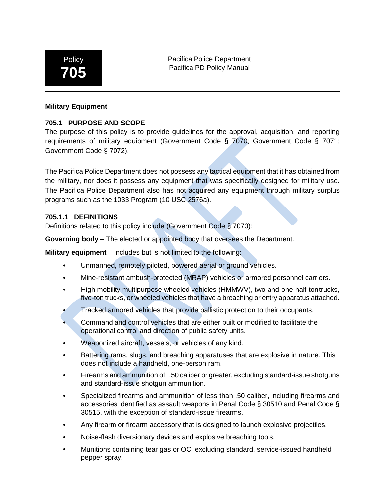

Pacifica Police Department Pacifica PD Policy Manual

#### **Military Equipment**

### **705.1 PURPOSE AND SCOPE**

The purpose of this policy is to provide guidelines for the approval, acquisition, and reporting requirements of military equipment (Government Code § 7070; Government Code § 7071; Government Code § 7072).

The Pacifica Police Department does not possess any tactical equipment that it has obtained from the military, nor does it possess any equipment that was specifically designed for military use. The Pacifica Police Department also has not acquired any equipment through military surplus programs such as the 1033 Program (10 USC 2576a).

#### **705.1.1 DEFINITIONS**

Definitions related to this policy include (Government Code § 7070):

**Governing body** – The elected or appointed body that oversees the Department.

**Military equipment** – Includes but is not limited to the following:

- Unmanned, remotely piloted, powered aerial or ground vehicles.
- Mine-resistant ambush-protected (MRAP) vehicles or armored personnel carriers.
- High mobility multipurpose wheeled vehicles (HMMWV), two-and-one-half-tontrucks, five-ton trucks, or wheeled vehicles that have a breaching or entry apparatus attached.
- Tracked armored vehicles that provide ballistic protection to their occupants.
- Command and control vehicles that are either built or modified to facilitate the operational control and direction of public safety units.
- Weaponized aircraft, vessels, or vehicles of any kind.
- Battering rams, slugs, and breaching apparatuses that are explosive in nature. This does not include a handheld, one-person ram.
- Firearms and ammunition of .50 caliber or greater, excluding standard-issue shotguns and standard-issue shotgun ammunition.
- Specialized firearms and ammunition of less than .50 caliber, including firearms and accessories identified as assault weapons in Penal Code § 30510 and Penal Code § 30515, with the exception of standard-issue firearms.
- Any firearm or firearm accessory that is designed to launch explosive projectiles.
- Noise-flash diversionary devices and explosive breaching tools.
- Munitions containing tear gas or OC, excluding standard, service-issued handheld pepper spray.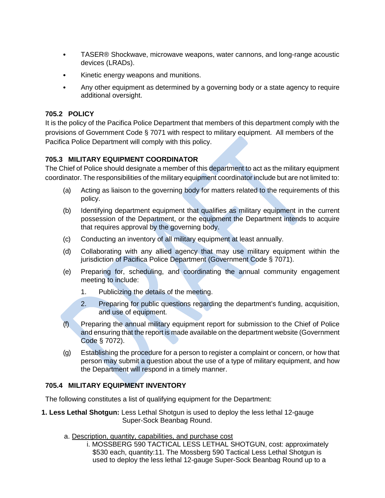- TASER® Shockwave, microwave weapons, water cannons, and long-range acoustic devices (LRADs).
- Kinetic energy weapons and munitions.
- Any other equipment as determined by a governing body or a state agency to require additional oversight.

# **705.2 POLICY**

It is the policy of the Pacifica Police Department that members of this department comply with the provisions of Government Code § 7071 with respect to military equipment. All members of the Pacifica Police Department will comply with this policy.

## **705.3 MILITARY EQUIPMENT COORDINATOR**

The Chief of Police should designate a member of this department to act as the military equipment coordinator. The responsibilities of the military equipment coordinator include but are not limited to:

- (a) Acting as liaison to the governing body for matters related to the requirements of this policy.
- (b) Identifying department equipment that qualifies as military equipment in the current possession of the Department, or the equipment the Department intends to acquire that requires approval by the governing body.
- (c) Conducting an inventory of all military equipment at least annually.
- (d) Collaborating with any allied agency that may use military equipment within the jurisdiction of Pacifica Police Department (Government Code § 7071).
- (e) Preparing for, scheduling, and coordinating the annual community engagement meeting to include:
	- 1. Publicizing the details of the meeting.
	- 2. Preparing for public questions regarding the department's funding, acquisition, and use of equipment.
- (f) Preparing the annual military equipment report for submission to the Chief of Police and ensuring that the report is made available on the department website (Government Code § 7072).
- (g) Establishing the procedure for a person to register a complaint or concern, or how that person may submit a question about the use of a type of military equipment, and how the Department will respond in a timely manner.

## **705.4 MILITARY EQUIPMENT INVENTORY**

The following constitutes a list of qualifying equipment for the Department:

- **1. Less Lethal Shotgun:** Less Lethal Shotgun is used to deploy the less lethal 12-gauge Super-Sock Beanbag Round.
	- a. Description, quantity, capabilities, and purchase cost
		- i. MOSSBERG 590 TACTICAL LESS LETHAL SHOTGUN, cost: approximately \$530 each, quantity:11. The Mossberg 590 Tactical Less Lethal Shotgun is used to deploy the less lethal 12-gauge Super-Sock Beanbag Round up to a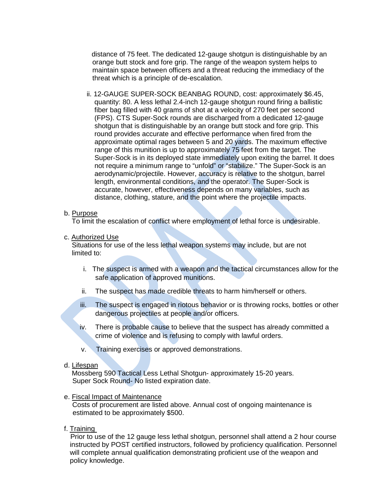distance of 75 feet. The dedicated 12-gauge shotgun is distinguishable by an orange butt stock and fore grip. The range of the weapon system helps to maintain space between officers and a threat reducing the immediacy of the threat which is a principle of de-escalation.

ii. 12-GAUGE SUPER-SOCK BEANBAG ROUND, cost: approximately \$6.45, quantity: 80. A less lethal 2.4-inch 12-gauge shotgun round firing a ballistic fiber bag filled with 40 grams of shot at a velocity of 270 feet per second (FPS). CTS Super-Sock rounds are discharged from a dedicated 12-gauge shotgun that is distinguishable by an orange butt stock and fore grip. This round provides accurate and effective performance when fired from the approximate optimal rages between 5 and 20 yards. The maximum effective range of this munition is up to approximately 75 feet from the target. The Super-Sock is in its deployed state immediately upon exiting the barrel. It does not require a minimum range to "unfold" or "stabilize." The Super-Sock is an aerodynamic/projectile. However, accuracy is relative to the shotgun, barrel length, environmental conditions, and the operator. The Super-Sock is accurate, however, effectiveness depends on many variables, such as distance, clothing, stature, and the point where the projectile impacts.

#### b. Purpose

To limit the escalation of conflict where employment of lethal force is undesirable.

c. Authorized Use

 Situations for use of the less lethal weapon systems may include, but are not limited to:

- i. The suspect is armed with a weapon and the tactical circumstances allow for the safe application of approved munitions.
- ii. The suspect has made credible threats to harm him/herself or others.
- iii. The suspect is engaged in riotous behavior or is throwing rocks, bottles or other dangerous projectiles at people and/or officers.
- iv. There is probable cause to believe that the suspect has already committed a crime of violence and is refusing to comply with lawful orders.
- v. Training exercises or approved demonstrations.

#### d. Lifespan

 Mossberg 590 Tactical Less Lethal Shotgun- approximately 15-20 years. Super Sock Round- No listed expiration date.

#### e. Fiscal Impact of Maintenance

 Costs of procurement are listed above. Annual cost of ongoing maintenance is estimated to be approximately \$500.

#### f. Training

 Prior to use of the 12 gauge less lethal shotgun, personnel shall attend a 2 hour course instructed by POST certified instructors, followed by proficiency qualification. Personnel will complete annual qualification demonstrating proficient use of the weapon and policy knowledge.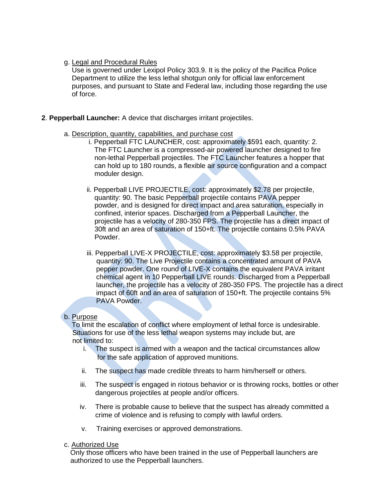#### g. Legal and Procedural Rules

 Use is governed under Lexipol Policy 303.9. It is the policy of the Pacifica Police Department to utilize the less lethal shotgun only for official law enforcement purposes, and pursuant to State and Federal law, including those regarding the use of force.

#### **2**. **Pepperball Launcher:** A device that discharges irritant projectiles.

- a. Description, quantity, capabilities, and purchase cost
	- i. Pepperball FTC LAUNCHER, cost: approximately \$591 each, quantity: 2. The FTC Launcher is a compressed-air powered launcher designed to fire non-lethal Pepperball projectiles. The FTC Launcher features a hopper that can hold up to 180 rounds, a flexible air source configuration and a compact moduler design.
	- ii. Pepperball LIVE PROJECTILE, cost: approximately \$2.78 per projectile, quantity: 90. The basic Pepperball projectile contains PAVA pepper powder, and is designed for direct impact and area saturation, especially in confined, interior spaces. Discharged from a Pepperball Launcher, the projectile has a velocity of 280-350 FPS. The projectile has a direct impact of 30ft and an area of saturation of 150+ft. The projectile contains 0.5% PAVA Powder.
	- iii. Pepperball LIVE-X PROJECTILE, cost: approximately \$3.58 per projectile, quantity: 90. The Live Projectile contains a concentrated amount of PAVA pepper powder. One round of LIVE-X contains the equivalent PAVA irritant chemical agent in 10 Pepperball LIVE rounds. Discharged from a Pepperball launcher, the projectile has a velocity of 280-350 FPS. The projectile has a direct impact of 60ft and an area of saturation of 150+ft. The projectile contains 5% PAVA Powder.

#### b. Purpose

 To limit the escalation of conflict where employment of lethal force is undesirable. Situations for use of the less lethal weapon systems may include but, are not limited to:

- i. The suspect is armed with a weapon and the tactical circumstances allow for the safe application of approved munitions.
- ii. The suspect has made credible threats to harm him/herself or others.
- iii. The suspect is engaged in riotous behavior or is throwing rocks, bottles or other dangerous projectiles at people and/or officers.
- iv. There is probable cause to believe that the suspect has already committed a crime of violence and is refusing to comply with lawful orders.
- v. Training exercises or approved demonstrations.
- c. Authorized Use

 Only those officers who have been trained in the use of Pepperball launchers are authorized to use the Pepperball launchers.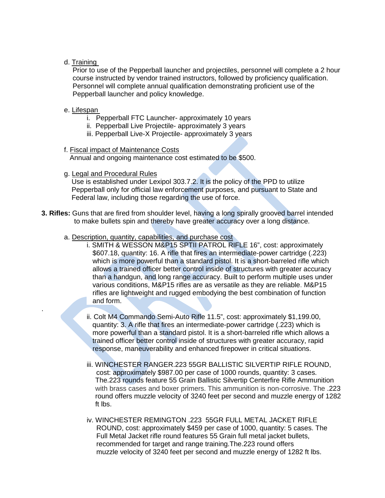## d. Training

Prior to use of the Pepperball launcher and projectiles, personnel will complete a 2 hour course instructed by vendor trained instructors, followed by proficiency qualification. Personnel will complete annual qualification demonstrating proficient use of the Pepperball launcher and policy knowledge.

#### e. Lifespan

.

- i. Pepperball FTC Launcher- approximately 10 years
- ii. Pepperball Live Projectile- approximately 3 years
- iii. Pepperball Live-X Projectile- approximately 3 years
- f. Fiscal impact of Maintenance Costs

Annual and ongoing maintenance cost estimated to be \$500.

g. Legal and Procedural Rules

Use is established under Lexipol 303.7.2. It is the policy of the PPD to utilize Pepperball only for official law enforcement purposes, and pursuant to State and Federal law, including those regarding the use of force.

- **3. Rifles:** Guns that are fired from shoulder level, having a long spirally grooved barrel intended to make bullets spin and thereby have greater accuracy over a long distance.
	- a. Description, quantity, capabilities, and purchase cost
		- i. SMITH & WESSON M&P15 SPTII PATROL RIFLE 16", cost: approximately \$607.18, quantity: 16. A rifle that fires an intermediate-power cartridge (.223) which is more powerful than a standard pistol. It is a short-barreled rifle which allows a trained officer better control inside of structures with greater accuracy than a handgun, and long range accuracy. Built to perform multiple uses under various conditions, M&P15 rifles are as versatile as they are reliable. M&P15 rifles are lightweight and rugged embodying the best combination of function and form.
		- ii. Colt M4 Commando Semi-Auto Rifle 11.5", cost: approximately \$1,199.00, quantity: 3. A rifle that fires an intermediate-power cartridge (.223) which is more powerful than a standard pistol. It is a short-barreled rifle which allows a trained officer better control inside of structures with greater accuracy, rapid response, maneuverability and enhanced firepower in critical situations.
		- iii. WINCHESTER RANGER.223 55GR BALLISTIC SILVERTIP RIFLE ROUND, cost: approximately \$987.00 per case of 1000 rounds, quantity: 3 cases. The.223 rounds feature 55 Grain Ballistic Silvertip Centerfire Rifle Ammunition with brass cases and boxer primers. This ammunition is non-corrosive. The .223 round offers muzzle velocity of 3240 feet per second and muzzle energy of 1282 ft lbs.
		- iv. WINCHESTER REMINGTON .223 55GR FULL METAL JACKET RIFLE ROUND, cost: approximately \$459 per case of 1000, quantity: 5 cases. The Full Metal Jacket rifle round features 55 Grain full metal jacket bullets, recommended for target and range training.The.223 round offers muzzle velocity of 3240 feet per second and muzzle energy of 1282 ft lbs.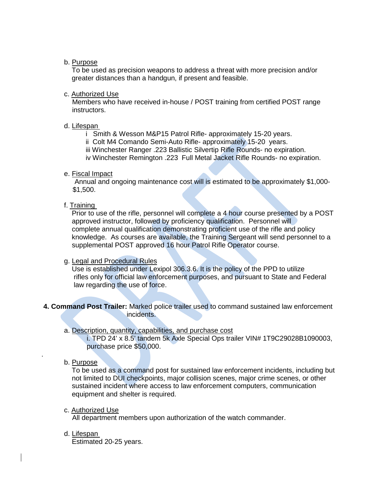#### b. Purpose

 To be used as precision weapons to address a threat with more precision and/or greater distances than a handgun, if present and feasible.

#### c. Authorized Use

Members who have received in-house / POST training from certified POST range instructors.

#### d. Lifespan

- i Smith & Wesson M&P15 Patrol Rifle- approximately 15-20 years.
- ii Colt M4 Comando Semi-Auto Rifle- approximately 15-20 years.
- iii Winchester Ranger .223 Ballistic Silvertip Rifle Rounds- no expiration.

iv Winchester Remington .223 Full Metal Jacket Rifle Rounds- no expiration.

#### e. Fiscal Impact

Annual and ongoing maintenance cost will is estimated to be approximately \$1,000- \$1,500.

#### f. Training

 Prior to use of the rifle, personnel will complete a 4 hour course presented by a POST approved instructor, followed by proficiency qualification. Personnel will complete annual qualification demonstrating proficient use of the rifle and policy knowledge. As courses are available, the Training Sergeant will send personnel to a supplemental POST approved 16 hour Patrol Rifle Operator course.

#### g. Legal and Procedural Rules

 Use is established under Lexipol 306.3.6. It is the policy of the PPD to utilize rifles only for official law enforcement purposes, and pursuant to State and Federal law regarding the use of force.

#### **4. Command Post Trailer:** Marked police trailer used to command sustained law enforcement incidents.

#### a. Description, quantity, capabilities, and purchase cost

i. TPD 24' x 8.5' tandem 5k Axle Special Ops trailer VIN# 1T9C29028B1090003, purchase price \$50,000.

#### b. Purpose

.

 To be used as a command post for sustained law enforcement incidents, including but not limited to DUI checkpoints, major collision scenes, major crime scenes, or other sustained incident where access to law enforcement computers, communication equipment and shelter is required.

#### c. Authorized Use

All department members upon authorization of the watch commander.

d. Lifespan

Estimated 20-25 years.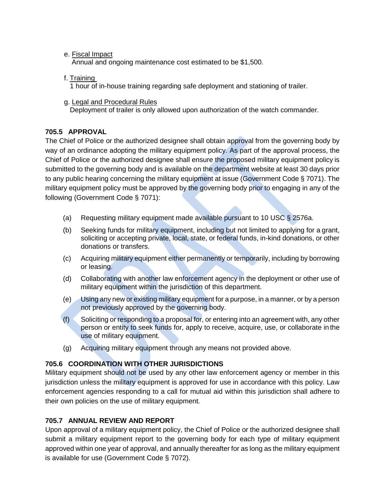# e. Fiscal Impact

Annual and ongoing maintenance cost estimated to be \$1,500.

f. Training

1 hour of in-house training regarding safe deployment and stationing of trailer.

g. Legal and Procedural Rules Deployment of trailer is only allowed upon authorization of the watch commander.

# **705.5 APPROVAL**

The Chief of Police or the authorized designee shall obtain approval from the governing body by way of an ordinance adopting the military equipment policy. As part of the approval process, the Chief of Police or the authorized designee shall ensure the proposed military equipment policy is submitted to the governing body and is available on the department website at least 30 days prior to any public hearing concerning the military equipment at issue (Government Code § 7071). The military equipment policy must be approved by the governing body prior to engaging in any of the following (Government Code § 7071):

- (a) Requesting military equipment made available pursuant to 10 USC § 2576a.
- (b) Seeking funds for military equipment, including but not limited to applying for a grant, soliciting or accepting private, local, state, or federal funds, in-kind donations, or other donations or transfers.
- (c) Acquiring military equipment either permanently or temporarily, including by borrowing or leasing.
- (d) Collaborating with another law enforcement agency in the deployment or other use of military equipment within the jurisdiction of this department.
- (e) Using any new or existing military equipment for a purpose, in a manner, or by a person not previously approved by the governing body.
- (f) Soliciting or responding to a proposal for, or entering into an agreement with, any other person or entity to seek funds for, apply to receive, acquire, use, or collaborate in the use of military equipment.
- (g) Acquiring military equipment through any means not provided above.

# **705.6 COORDINATION WITH OTHER JURISDICTIONS**

Military equipment should not be used by any other law enforcement agency or member in this jurisdiction unless the military equipment is approved for use in accordance with this policy. Law enforcement agencies responding to a call for mutual aid within this jurisdiction shall adhere to their own policies on the use of military equipment.

# **705.7 ANNUAL REVIEW AND REPORT**

Upon approval of a military equipment policy, the Chief of Police or the authorized designee shall submit a military equipment report to the governing body for each type of military equipment approved within one year of approval, and annually thereafter for as long as the military equipment is available for use (Government Code § 7072).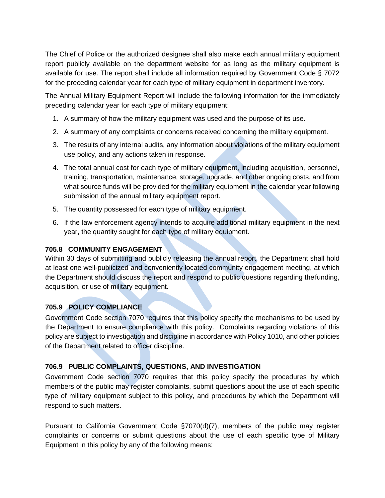The Chief of Police or the authorized designee shall also make each annual military equipment report publicly available on the department website for as long as the military equipment is available for use. The report shall include all information required by Government Code § 7072 for the preceding calendar year for each type of military equipment in department inventory.

The Annual Military Equipment Report will include the following information for the immediately preceding calendar year for each type of military equipment:

- 1. A summary of how the military equipment was used and the purpose of its use.
- 2. A summary of any complaints or concerns received concerning the military equipment.
- 3. The results of any internal audits, any information about violations of the military equipment use policy, and any actions taken in response.
- 4. The total annual cost for each type of military equipment, including acquisition, personnel, training, transportation, maintenance, storage, upgrade, and other ongoing costs, and from what source funds will be provided for the military equipment in the calendar year following submission of the annual military equipment report.
- 5. The quantity possessed for each type of military equipment.
- 6. If the law enforcement agency intends to acquire additional military equipment in the next year, the quantity sought for each type of military equipment.

# **705.8 COMMUNITY ENGAGEMENT**

Within 30 days of submitting and publicly releasing the annual report, the Department shall hold at least one well-publicized and conveniently located community engagement meeting, at which the Department should discuss the report and respond to public questions regarding thefunding, acquisition, or use of military equipment.

# **705.9 POLICY COMPLIANCE**

Government Code section 7070 requires that this policy specify the mechanisms to be used by the Department to ensure compliance with this policy. Complaints regarding violations of this policy are subject to investigation and discipline in accordance with Policy 1010, and other policies of the Department related to officer discipline.

# **706.9 PUBLIC COMPLAINTS, QUESTIONS, AND INVESTIGATION**

Government Code section 7070 requires that this policy specify the procedures by which members of the public may register complaints, submit questions about the use of each specific type of military equipment subject to this policy, and procedures by which the Department will respond to such matters.

Pursuant to California Government Code §7070(d)(7), members of the public may register complaints or concerns or submit questions about the use of each specific type of Military Equipment in this policy by any of the following means: